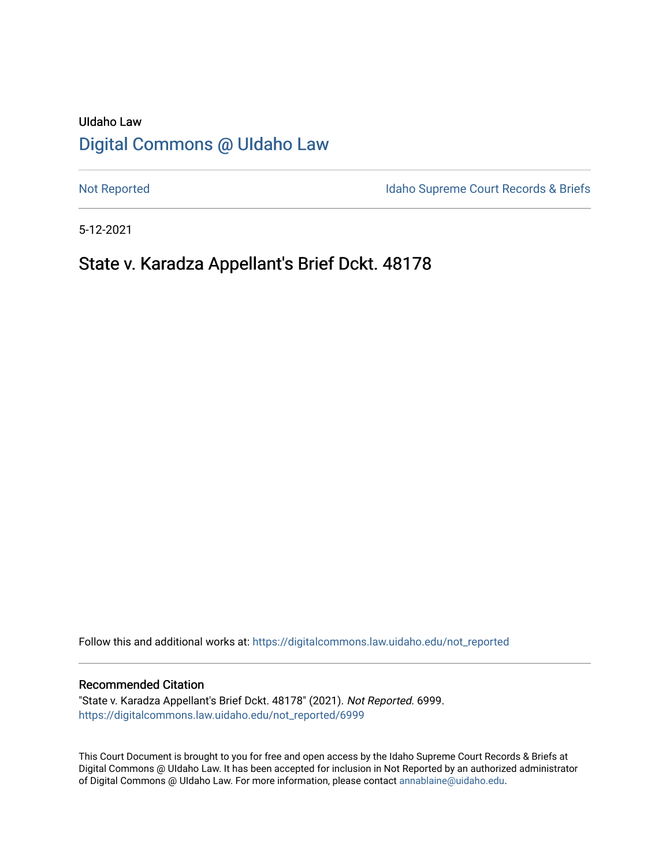# UIdaho Law [Digital Commons @ UIdaho Law](https://digitalcommons.law.uidaho.edu/)

[Not Reported](https://digitalcommons.law.uidaho.edu/not_reported) **Idaho Supreme Court Records & Briefs** 

5-12-2021

# State v. Karadza Appellant's Brief Dckt. 48178

Follow this and additional works at: [https://digitalcommons.law.uidaho.edu/not\\_reported](https://digitalcommons.law.uidaho.edu/not_reported?utm_source=digitalcommons.law.uidaho.edu%2Fnot_reported%2F6999&utm_medium=PDF&utm_campaign=PDFCoverPages) 

#### Recommended Citation

"State v. Karadza Appellant's Brief Dckt. 48178" (2021). Not Reported. 6999. [https://digitalcommons.law.uidaho.edu/not\\_reported/6999](https://digitalcommons.law.uidaho.edu/not_reported/6999?utm_source=digitalcommons.law.uidaho.edu%2Fnot_reported%2F6999&utm_medium=PDF&utm_campaign=PDFCoverPages)

This Court Document is brought to you for free and open access by the Idaho Supreme Court Records & Briefs at Digital Commons @ UIdaho Law. It has been accepted for inclusion in Not Reported by an authorized administrator of Digital Commons @ UIdaho Law. For more information, please contact [annablaine@uidaho.edu](mailto:annablaine@uidaho.edu).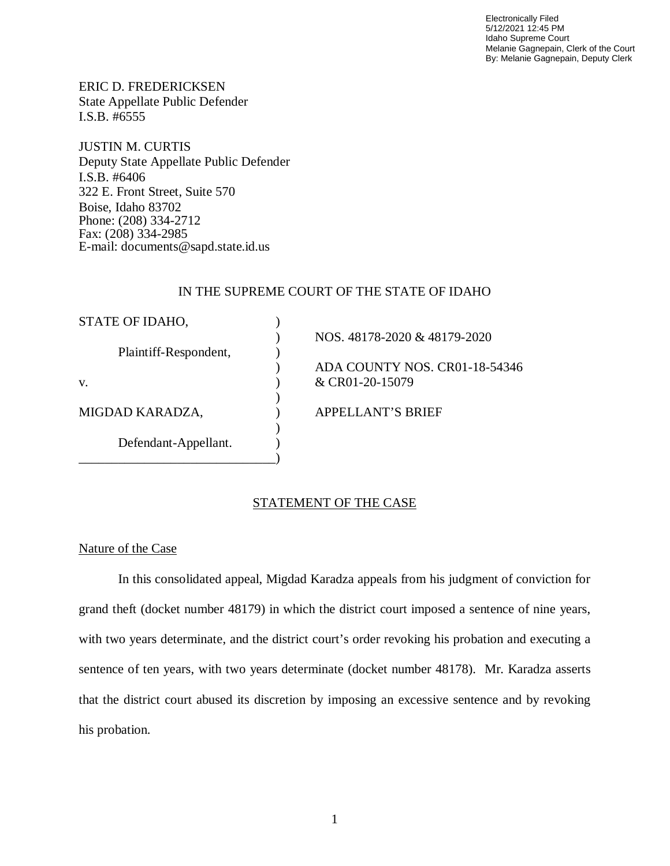Electronically Filed 5/12/2021 12:45 PM Idaho Supreme Court Melanie Gagnepain, Clerk of the Court By: Melanie Gagnepain, Deputy Clerk

ERIC D. FREDERICKSEN State Appellate Public Defender I.S.B. #6555

JUSTIN M. CURTIS Deputy State Appellate Public Defender I.S.B. #6406 322 E. Front Street, Suite 570 Boise, Idaho 83702 Phone: (208) 334-2712 Fax: (208) 334-2985 E-mail: documents@sapd.state.id.us

### IN THE SUPREME COURT OF THE STATE OF IDAHO

| STATE OF IDAHO,       |                               |
|-----------------------|-------------------------------|
|                       | NOS. 48178-2020 & 48179-2020  |
| Plaintiff-Respondent, |                               |
|                       | ADA COUNTY NOS. CR01-18-54346 |
| V.                    | & CR01-20-15079               |
|                       |                               |
| MIGDAD KARADZA,       | <b>APPELLANT'S BRIEF</b>      |
|                       |                               |
| Defendant-Appellant.  |                               |
|                       |                               |

# STATEMENT OF THE CASE

# Nature of the Case

In this consolidated appeal, Migdad Karadza appeals from his judgment of conviction for grand theft (docket number 48179) in which the district court imposed a sentence of nine years, with two years determinate, and the district court's order revoking his probation and executing a sentence of ten years, with two years determinate (docket number 48178). Mr. Karadza asserts that the district court abused its discretion by imposing an excessive sentence and by revoking his probation.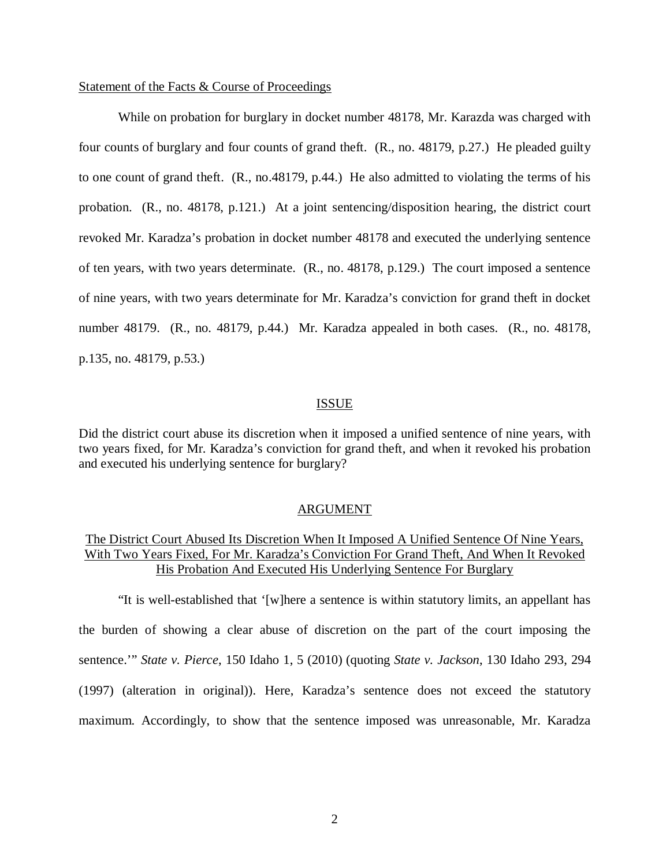#### Statement of the Facts & Course of Proceedings

While on probation for burglary in docket number 48178, Mr. Karazda was charged with four counts of burglary and four counts of grand theft. (R., no. 48179, p.27.) He pleaded guilty to one count of grand theft. (R., no.48179, p.44.) He also admitted to violating the terms of his probation. (R., no. 48178, p.121.) At a joint sentencing/disposition hearing, the district court revoked Mr. Karadza's probation in docket number 48178 and executed the underlying sentence of ten years, with two years determinate. (R., no. 48178, p.129.) The court imposed a sentence of nine years, with two years determinate for Mr. Karadza's conviction for grand theft in docket number 48179. (R., no. 48179, p.44.) Mr. Karadza appealed in both cases. (R., no. 48178, p.135, no. 48179, p.53.)

#### ISSUE

Did the district court abuse its discretion when it imposed a unified sentence of nine years, with two years fixed, for Mr. Karadza's conviction for grand theft, and when it revoked his probation and executed his underlying sentence for burglary?

#### ARGUMENT

# The District Court Abused Its Discretion When It Imposed A Unified Sentence Of Nine Years, With Two Years Fixed, For Mr. Karadza's Conviction For Grand Theft, And When It Revoked His Probation And Executed His Underlying Sentence For Burglary

"It is well-established that '[w]here a sentence is within statutory limits, an appellant has the burden of showing a clear abuse of discretion on the part of the court imposing the sentence.'" *State v. Pierce*, 150 Idaho 1, 5 (2010) (quoting *State v. Jackson*, 130 Idaho 293, 294 (1997) (alteration in original)). Here, Karadza's sentence does not exceed the statutory maximum. Accordingly, to show that the sentence imposed was unreasonable, Mr. Karadza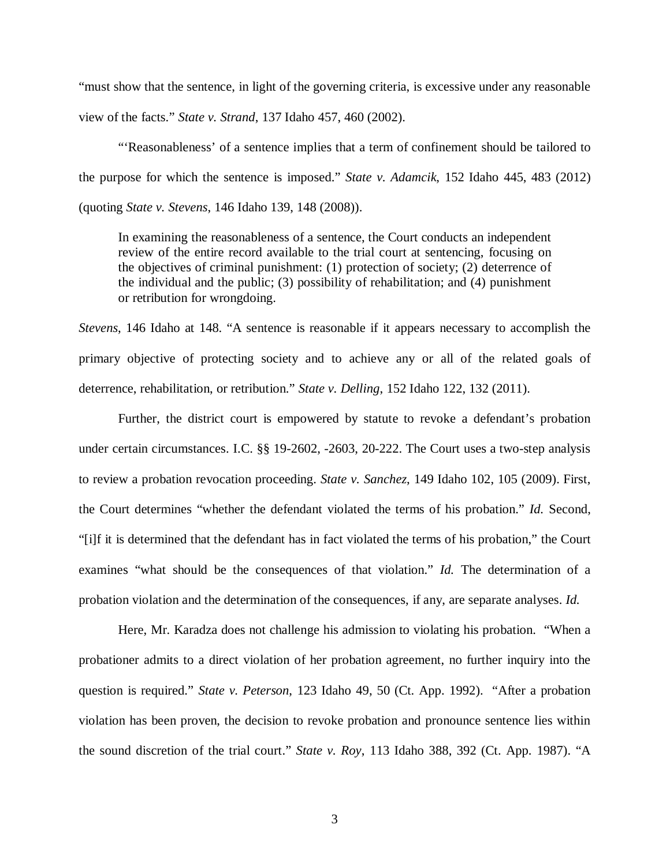"must show that the sentence, in light of the governing criteria, is excessive under any reasonable view of the facts." *State v. Strand*, 137 Idaho 457, 460 (2002).

"'Reasonableness' of a sentence implies that a term of confinement should be tailored to the purpose for which the sentence is imposed." *State v. Adamcik*, 152 Idaho 445, 483 (2012) (quoting *State v. Stevens*, 146 Idaho 139, 148 (2008)).

In examining the reasonableness of a sentence, the Court conducts an independent review of the entire record available to the trial court at sentencing, focusing on the objectives of criminal punishment: (1) protection of society; (2) deterrence of the individual and the public; (3) possibility of rehabilitation; and (4) punishment or retribution for wrongdoing.

*Stevens*, 146 Idaho at 148. "A sentence is reasonable if it appears necessary to accomplish the primary objective of protecting society and to achieve any or all of the related goals of deterrence, rehabilitation, or retribution." *State v. Delling*, 152 Idaho 122, 132 (2011).

Further, the district court is empowered by statute to revoke a defendant's probation under certain circumstances. I.C. §§ 19-2602, -2603, 20-222. The Court uses a two-step analysis to review a probation revocation proceeding. *State v. Sanchez*, 149 Idaho 102, 105 (2009). First, the Court determines "whether the defendant violated the terms of his probation." *Id.* Second, "[i]f it is determined that the defendant has in fact violated the terms of his probation," the Court examines "what should be the consequences of that violation." *Id.* The determination of a probation violation and the determination of the consequences, if any, are separate analyses. *Id.*

Here, Mr. Karadza does not challenge his admission to violating his probation. "When a probationer admits to a direct violation of her probation agreement, no further inquiry into the question is required." *State v. Peterson*, 123 Idaho 49, 50 (Ct. App. 1992). "After a probation violation has been proven, the decision to revoke probation and pronounce sentence lies within the sound discretion of the trial court." *State v. Roy*, 113 Idaho 388, 392 (Ct. App. 1987). "A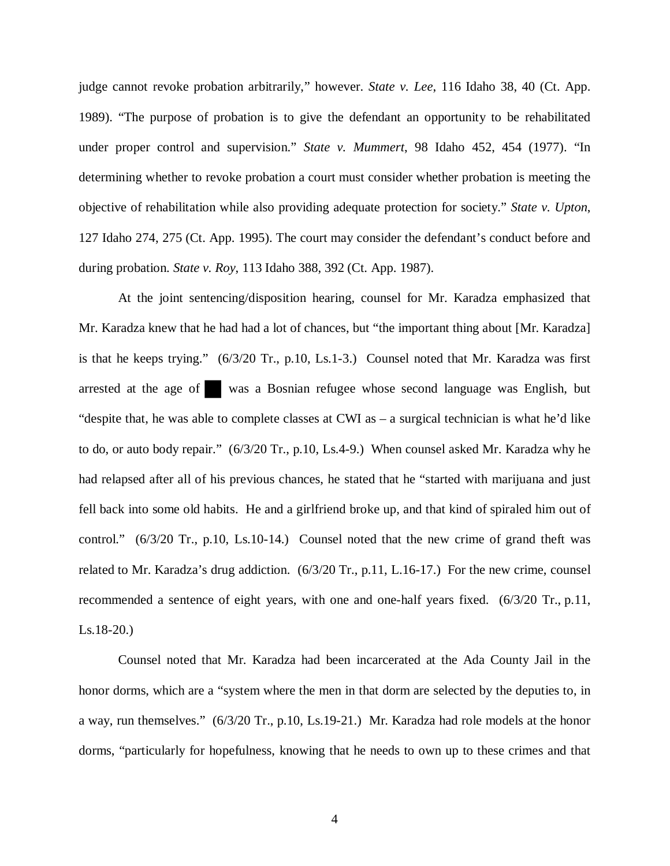judge cannot revoke probation arbitrarily," however. *State v. Lee*, 116 Idaho 38, 40 (Ct. App. 1989). "The purpose of probation is to give the defendant an opportunity to be rehabilitated under proper control and supervision." *State v. Mummert*, 98 Idaho 452, 454 (1977). "In determining whether to revoke probation a court must consider whether probation is meeting the objective of rehabilitation while also providing adequate protection for society." *State v. Upton*, 127 Idaho 274, 275 (Ct. App. 1995). The court may consider the defendant's conduct before and during probation. *State v. Roy*, 113 Idaho 388, 392 (Ct. App. 1987).

At the joint sentencing/disposition hearing, counsel for Mr. Karadza emphasized that Mr. Karadza knew that he had had a lot of chances, but "the important thing about [Mr. Karadza] is that he keeps trying." (6/3/20 Tr., p.10, Ls.1-3.) Counsel noted that Mr. Karadza was first arrested at the age of was a Bosnian refugee whose second language was English, but "despite that, he was able to complete classes at CWI as – a surgical technician is what he'd like to do, or auto body repair." (6/3/20 Tr., p.10, Ls.4-9.) When counsel asked Mr. Karadza why he had relapsed after all of his previous chances, he stated that he "started with marijuana and just fell back into some old habits. He and a girlfriend broke up, and that kind of spiraled him out of control." (6/3/20 Tr., p.10, Ls.10-14.) Counsel noted that the new crime of grand theft was related to Mr. Karadza's drug addiction. (6/3/20 Tr., p.11, L.16-17.) For the new crime, counsel recommended a sentence of eight years, with one and one-half years fixed. (6/3/20 Tr., p.11, Ls.18-20.)

Counsel noted that Mr. Karadza had been incarcerated at the Ada County Jail in the honor dorms, which are a "system where the men in that dorm are selected by the deputies to, in a way, run themselves." (6/3/20 Tr., p.10, Ls.19-21.) Mr. Karadza had role models at the honor dorms, "particularly for hopefulness, knowing that he needs to own up to these crimes and that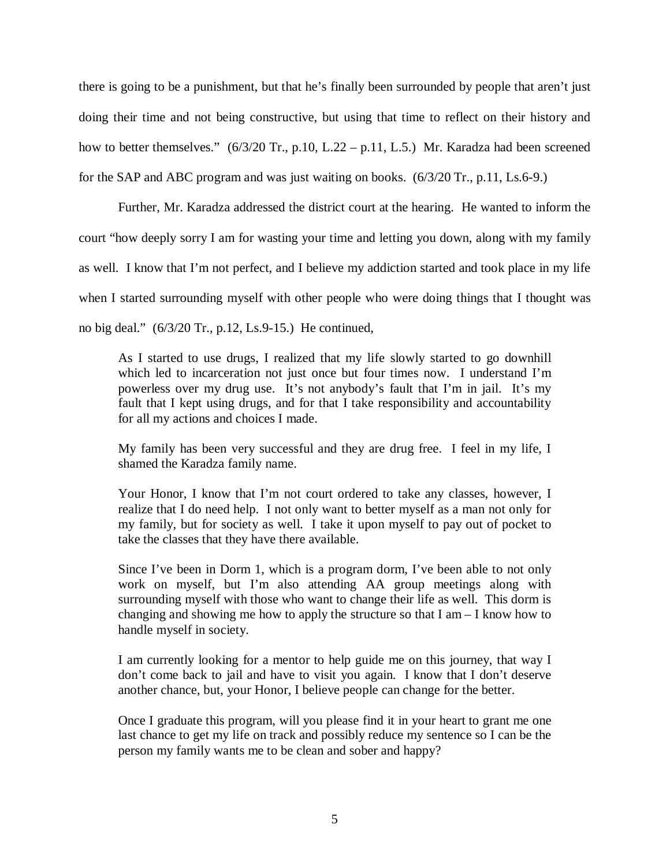there is going to be a punishment, but that he's finally been surrounded by people that aren't just doing their time and not being constructive, but using that time to reflect on their history and how to better themselves." (6/3/20 Tr., p.10, L.22 – p.11, L.5.) Mr. Karadza had been screened for the SAP and ABC program and was just waiting on books. (6/3/20 Tr., p.11, Ls.6-9.)

Further, Mr. Karadza addressed the district court at the hearing. He wanted to inform the court "how deeply sorry I am for wasting your time and letting you down, along with my family as well. I know that I'm not perfect, and I believe my addiction started and took place in my life when I started surrounding myself with other people who were doing things that I thought was no big deal." (6/3/20 Tr., p.12, Ls.9-15.) He continued,

As I started to use drugs, I realized that my life slowly started to go downhill which led to incarceration not just once but four times now. I understand I'm powerless over my drug use. It's not anybody's fault that I'm in jail. It's my fault that I kept using drugs, and for that I take responsibility and accountability for all my actions and choices I made.

My family has been very successful and they are drug free. I feel in my life, I shamed the Karadza family name.

Your Honor, I know that I'm not court ordered to take any classes, however, I realize that I do need help. I not only want to better myself as a man not only for my family, but for society as well. I take it upon myself to pay out of pocket to take the classes that they have there available.

Since I've been in Dorm 1, which is a program dorm, I've been able to not only work on myself, but I'm also attending AA group meetings along with surrounding myself with those who want to change their life as well. This dorm is changing and showing me how to apply the structure so that  $I$  am  $-I$  know how to handle myself in society.

I am currently looking for a mentor to help guide me on this journey, that way I don't come back to jail and have to visit you again. I know that I don't deserve another chance, but, your Honor, I believe people can change for the better.

Once I graduate this program, will you please find it in your heart to grant me one last chance to get my life on track and possibly reduce my sentence so I can be the person my family wants me to be clean and sober and happy?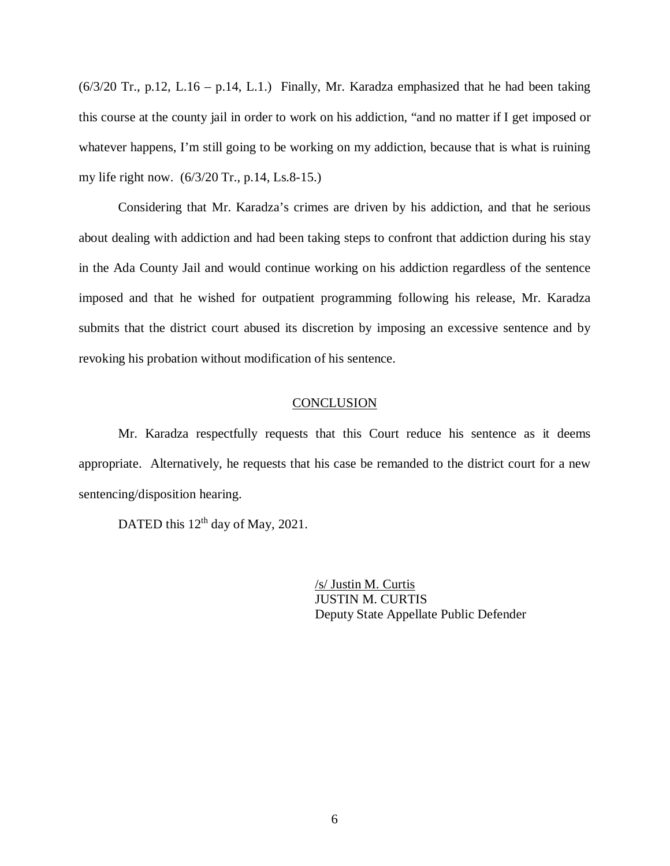$(6/3/20 \text{ Tr}., p.12, L.16 - p.14, L.1.)$  Finally, Mr. Karadza emphasized that he had been taking this course at the county jail in order to work on his addiction, "and no matter if I get imposed or whatever happens, I'm still going to be working on my addiction, because that is what is ruining my life right now. (6/3/20 Tr., p.14, Ls.8-15.)

Considering that Mr. Karadza's crimes are driven by his addiction, and that he serious about dealing with addiction and had been taking steps to confront that addiction during his stay in the Ada County Jail and would continue working on his addiction regardless of the sentence imposed and that he wished for outpatient programming following his release, Mr. Karadza submits that the district court abused its discretion by imposing an excessive sentence and by revoking his probation without modification of his sentence.

# **CONCLUSION**

Mr. Karadza respectfully requests that this Court reduce his sentence as it deems appropriate. Alternatively, he requests that his case be remanded to the district court for a new sentencing/disposition hearing.

DATED this 12<sup>th</sup> day of May, 2021.

/s/ Justin M. Curtis JUSTIN M. CURTIS Deputy State Appellate Public Defender